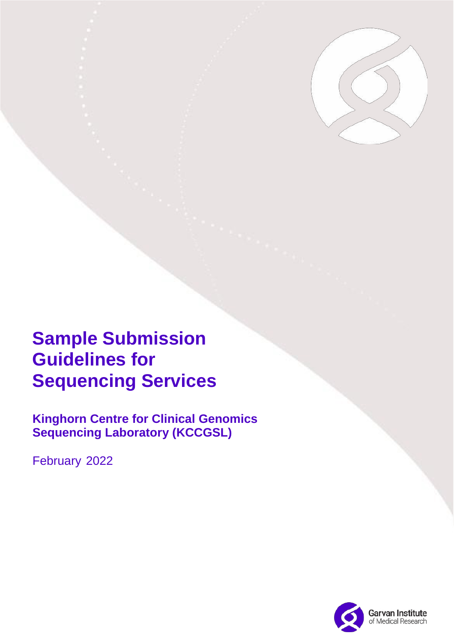

# **Sample Submission Guidelines for Sequencing Services**

**Kinghorn Centre for Clinical Genomics Sequencing Laboratory (KCCGSL)**

February 2022

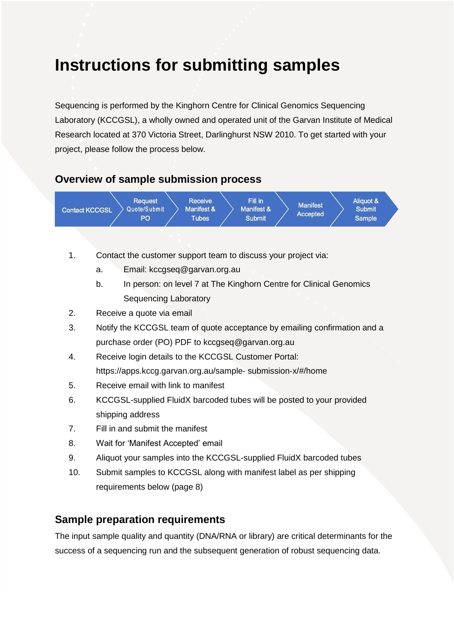## **Instructions for submitting samples**

Sequencing is performed by the Kinghorn Centre for Clinical Genomics Sequencing Laboratory (KCCGSL), a wholly owned and operated unit of the Garvan Institute of Medical Research located at 370 Victoria Street, Darlinghurst NSW 2010. To get started with your project, please follow the process below.

#### **Overview of sample submission process**



- 1. Contact the customer support team to discuss your project via:
	- a. Email: kccgseq@garvan.org.au
	- b. In person: on level 7 at The Kinghorn Centre for Clinical Genomics Sequencing Laboratory
- 2. Receive a quote via email
- 3. Notify the KCCGSL team of quote acceptance by emailing confirmation and a purchase order (PO) PDF to kccgseq@garvan.org.au
- 4. Receive login details to the KCCGSL Customer Portal: https://apps.kccg.garvan.org.au/sample- submission-x/#/home
- 5. Receive email with link to manifest
- 6. KCCGSL-supplied FluidX barcoded tubes will be posted to your provided shipping address
- 7. Fill in and submit the manifest
- 8. Wait for 'Manifest Accepted' email
- 9. Aliquot your samples into the KCCGSL-supplied FluidX barcoded tubes
- 10. Submit samples to KCCGSL along with manifest label as per shipping requirements below (page 8)

#### **Sample preparation requirements**

The input sample quality and quantity (DNA/RNA or library) are critical determinants for the success of a sequencing run and the subsequent generation of robust sequencing data.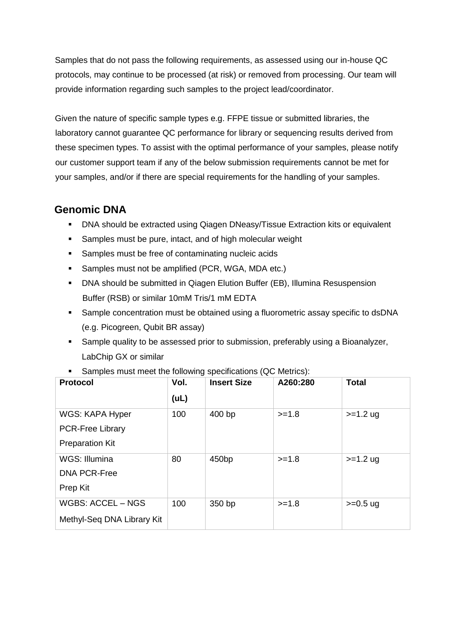Samples that do not pass the following requirements, as assessed using our in-house QC protocols, may continue to be processed (at risk) or removed from processing. Our team will provide information regarding such samples to the project lead/coordinator.

Given the nature of specific sample types e.g. FFPE tissue or submitted libraries, the laboratory cannot guarantee QC performance for library or sequencing results derived from these specimen types. To assist with the optimal performance of your samples, please notify our customer support team if any of the below submission requirements cannot be met for your samples, and/or if there are special requirements for the handling of your samples.

### **Genomic DNA**

- **DNA should be extracted using Qiagen DNeasy/Tissue Extraction kits or equivalent**
- **Samples must be pure, intact, and of high molecular weight**
- **Samples must be free of contaminating nucleic acids**
- **Samples must not be amplified (PCR, WGA, MDA etc.)**
- **DNA should be submitted in Qiagen Elution Buffer (EB), Illumina Resuspension** Buffer (RSB) or similar 10mM Tris/1 mM EDTA
- Sample concentration must be obtained using a fluorometric assay specific to dsDNA (e.g. Picogreen, Qubit BR assay)
- **Sample quality to be assessed prior to submission, preferably using a Bioanalyzer,** LabChip GX or similar

| <b>Protocol</b>            | Vol. | <b>Insert Size</b> | A260:280 | <b>Total</b> |
|----------------------------|------|--------------------|----------|--------------|
|                            | (UL) |                    |          |              |
| WGS: KAPA Hyper            | 100  | 400 bp             | $>=1.8$  | $>=1.2$ ug   |
| <b>PCR-Free Library</b>    |      |                    |          |              |
| <b>Preparation Kit</b>     |      |                    |          |              |
| WGS: Illumina              | 80   | 450 <sub>bp</sub>  | $>=1.8$  | $>=1.2$ ug   |
| <b>DNA PCR-Free</b>        |      |                    |          |              |
| Prep Kit                   |      |                    |          |              |
| <b>WGBS: ACCEL - NGS</b>   | 100  | 350 bp             | $>=1.8$  | $>=0.5$ ug   |
| Methyl-Seq DNA Library Kit |      |                    |          |              |

Samples must meet the following specifications (QC Metrics):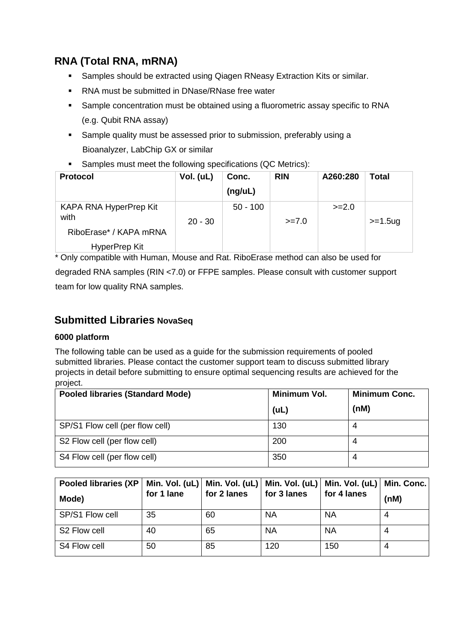## **RNA (Total RNA, mRNA)**

- **Samples should be extracted using Qiagen RNeasy Extraction Kits or similar.**
- RNA must be submitted in DNase/RNase free water
- Sample concentration must be obtained using a fluorometric assay specific to RNA (e.g. Qubit RNA assay)
- **Sample quality must be assessed prior to submission, preferably using a** Bioanalyzer, LabChip GX or similar
- Samples must meet the following specifications (QC Metrics):

| <b>Protocol</b>                                          | Vol. (uL) | Conc.<br>(ng/uL) | <b>RIN</b> | A260:280 | <b>Total</b> |
|----------------------------------------------------------|-----------|------------------|------------|----------|--------------|
| KAPA RNA HyperPrep Kit<br>with<br>RiboErase* / KAPA mRNA | $20 - 30$ | $50 - 100$       | $>= 7.0$   | $>=2.0$  | $>=1.5$ ug   |
| HyperPrep Kit                                            |           |                  |            |          |              |

\* Only compatible with Human, Mouse and Rat. RiboErase method can also be used for degraded RNA samples (RIN <7.0) or FFPE samples. Please consult with customer support team for low quality RNA samples.

## **Submitted Libraries NovaSeq**

#### **6000 platform**

The following table can be used as a guide for the submission requirements of pooled submitted libraries. Please contact the customer support team to discuss submitted library projects in detail before submitting to ensure optimal sequencing results are achieved for the project.

| <b>Pooled libraries (Standard Mode)</b> | Minimum Vol. | <b>Minimum Conc.</b> |
|-----------------------------------------|--------------|----------------------|
|                                         | (UL)         | (nM)                 |
| SP/S1 Flow cell (per flow cell)         | 130          |                      |
| S2 Flow cell (per flow cell)            | 200          |                      |
| S4 Flow cell (per flow cell)            | 350          |                      |

| Pooled libraries (XP<br>Mode) | for 1 lane | for 2 lanes | for 3 lanes | Min. Vol. (uL)   Min. Vol. (uL)   Min. Vol. (uL)   Min. Vol. (uL)   Min. Conc.  <br>for 4 lanes | (nM) |
|-------------------------------|------------|-------------|-------------|-------------------------------------------------------------------------------------------------|------|
| SP/S1 Flow cell               | 35         | 60          | <b>NA</b>   | <b>NA</b>                                                                                       |      |
| S2 Flow cell                  | 40         | 65          | <b>NA</b>   | <b>NA</b>                                                                                       | 4    |
| S4 Flow cell                  | 50         | 85          | 120         | 150                                                                                             | 4    |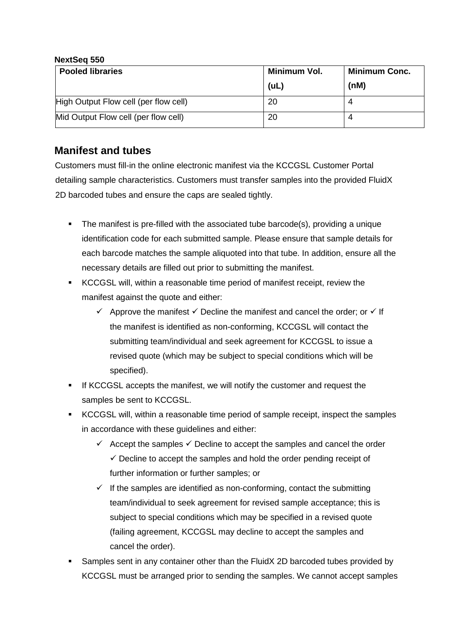#### **NextSeq 550**

| <b>Pooled libraries</b>               | Minimum Vol. | <b>Minimum Conc.</b> |
|---------------------------------------|--------------|----------------------|
|                                       | (UL)         | (nM)                 |
| High Output Flow cell (per flow cell) | 20           |                      |
| Mid Output Flow cell (per flow cell)  | 20           |                      |

## **Manifest and tubes**

Customers must fill-in the online electronic manifest via the KCCGSL Customer Portal detailing sample characteristics. Customers must transfer samples into the provided FluidX 2D barcoded tubes and ensure the caps are sealed tightly.

- The manifest is pre-filled with the associated tube barcode(s), providing a unique identification code for each submitted sample. Please ensure that sample details for each barcode matches the sample aliquoted into that tube. In addition, ensure all the necessary details are filled out prior to submitting the manifest.
- KCCGSL will, within a reasonable time period of manifest receipt, review the manifest against the quote and either:
	- $\checkmark$  Approve the manifest  $\checkmark$  Decline the manifest and cancel the order; or  $\checkmark$  If the manifest is identified as non-conforming, KCCGSL will contact the submitting team/individual and seek agreement for KCCGSL to issue a revised quote (which may be subject to special conditions which will be specified).
- If KCCGSL accepts the manifest, we will notify the customer and request the samples be sent to KCCGSL.
- KCCGSL will, within a reasonable time period of sample receipt, inspect the samples in accordance with these guidelines and either:
	- $\checkmark$  Accept the samples  $\checkmark$  Decline to accept the samples and cancel the order  $\checkmark$  Decline to accept the samples and hold the order pending receipt of further information or further samples; or
	- $\checkmark$  If the samples are identified as non-conforming, contact the submitting team/individual to seek agreement for revised sample acceptance; this is subject to special conditions which may be specified in a revised quote (failing agreement, KCCGSL may decline to accept the samples and cancel the order).
- Samples sent in any container other than the FluidX 2D barcoded tubes provided by KCCGSL must be arranged prior to sending the samples. We cannot accept samples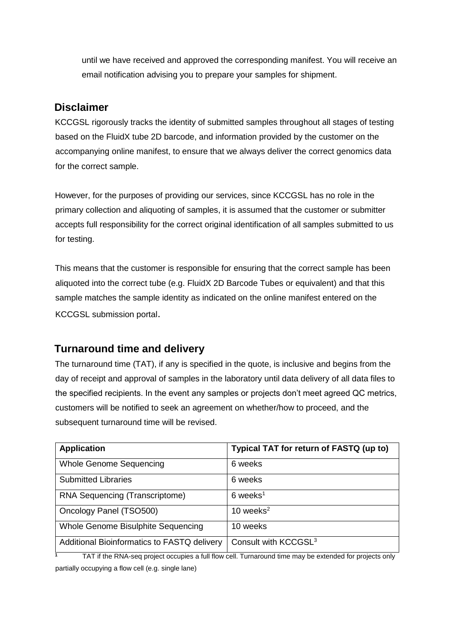until we have received and approved the corresponding manifest. You will receive an email notification advising you to prepare your samples for shipment.

#### **Disclaimer**

KCCGSL rigorously tracks the identity of submitted samples throughout all stages of testing based on the FluidX tube 2D barcode, and information provided by the customer on the accompanying online manifest, to ensure that we always deliver the correct genomics data for the correct sample.

However, for the purposes of providing our services, since KCCGSL has no role in the primary collection and aliquoting of samples, it is assumed that the customer or submitter accepts full responsibility for the correct original identification of all samples submitted to us for testing.

This means that the customer is responsible for ensuring that the correct sample has been aliquoted into the correct tube (e.g. FluidX 2D Barcode Tubes or equivalent) and that this sample matches the sample identity as indicated on the online manifest entered on the KCCGSL submission portal.

## **Turnaround time and delivery**

The turnaround time (TAT), if any is specified in the quote, is inclusive and begins from the day of receipt and approval of samples in the laboratory until data delivery of all data files to the specified recipients. In the event any samples or projects don't meet agreed QC metrics, customers will be notified to seek an agreement on whether/how to proceed, and the subsequent turnaround time will be revised.

| <b>Application</b>                          | Typical TAT for return of FASTQ (up to) |
|---------------------------------------------|-----------------------------------------|
| <b>Whole Genome Sequencing</b>              | 6 weeks                                 |
| <b>Submitted Libraries</b>                  | 6 weeks                                 |
| RNA Sequencing (Transcriptome)              | $6$ weeks <sup>1</sup>                  |
| Oncology Panel (TSO500)                     | 10 weeks $2$                            |
| Whole Genome Bisulphite Sequencing          | 10 weeks                                |
| Additional Bioinformatics to FASTQ delivery | Consult with KCCGSL <sup>3</sup>        |

<sup>1</sup> TAT if the RNA-seq project occupies a full flow cell. Turnaround time may be extended for projects only partially occupying a flow cell (e.g. single lane)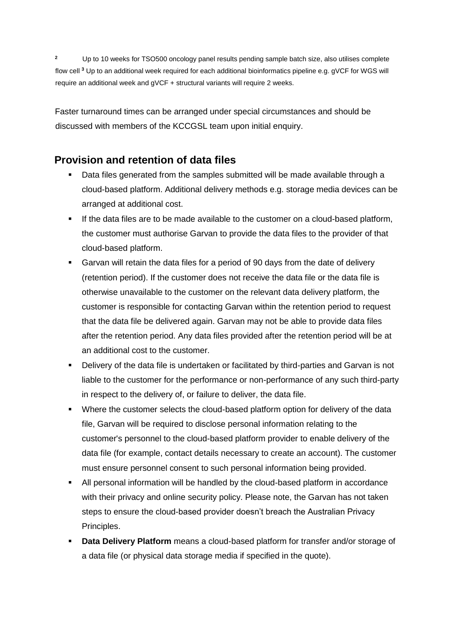**<sup>2</sup>** Up to 10 weeks for TSO500 oncology panel results pending sample batch size, also utilises complete flow cell **<sup>3</sup>** Up to an additional week required for each additional bioinformatics pipeline e.g. gVCF for WGS will require an additional week and gVCF + structural variants will require 2 weeks.

Faster turnaround times can be arranged under special circumstances and should be discussed with members of the KCCGSL team upon initial enquiry.

## **Provision and retention of data files**

- Data files generated from the samples submitted will be made available through a cloud-based platform. Additional delivery methods e.g. storage media devices can be arranged at additional cost.
- If the data files are to be made available to the customer on a cloud-based platform, the customer must authorise Garvan to provide the data files to the provider of that cloud-based platform.
- Garvan will retain the data files for a period of 90 days from the date of delivery (retention period). If the customer does not receive the data file or the data file is otherwise unavailable to the customer on the relevant data delivery platform, the customer is responsible for contacting Garvan within the retention period to request that the data file be delivered again. Garvan may not be able to provide data files after the retention period. Any data files provided after the retention period will be at an additional cost to the customer.
- Delivery of the data file is undertaken or facilitated by third-parties and Garvan is not liable to the customer for the performance or non-performance of any such third-party in respect to the delivery of, or failure to deliver, the data file.
- Where the customer selects the cloud-based platform option for delivery of the data file, Garvan will be required to disclose personal information relating to the customer's personnel to the cloud-based platform provider to enable delivery of the data file (for example, contact details necessary to create an account). The customer must ensure personnel consent to such personal information being provided.
- All personal information will be handled by the cloud-based platform in accordance with their privacy and online security policy. Please note, the Garvan has not taken steps to ensure the cloud-based provider doesn't breach the Australian Privacy Principles.
- **Data Delivery Platform** means a cloud-based platform for transfer and/or storage of a data file (or physical data storage media if specified in the quote).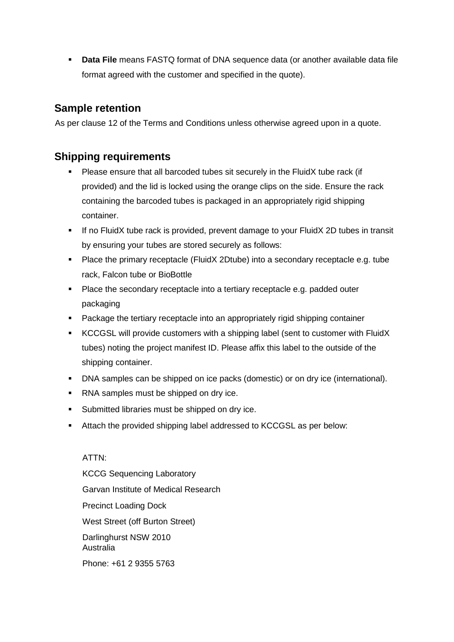**Data File** means FASTQ format of DNA sequence data (or another available data file format agreed with the customer and specified in the quote).

#### **Sample retention**

As per clause 12 of the Terms and Conditions unless otherwise agreed upon in a quote.

#### **Shipping requirements**

- Please ensure that all barcoded tubes sit securely in the FluidX tube rack (if provided) and the lid is locked using the orange clips on the side. Ensure the rack containing the barcoded tubes is packaged in an appropriately rigid shipping container.
- If no FluidX tube rack is provided, prevent damage to your FluidX 2D tubes in transit by ensuring your tubes are stored securely as follows:
- **Place the primary receptacle (FluidX 2Dtube) into a secondary receptacle e.g. tube** rack, Falcon tube or BioBottle
- **Place the secondary receptacle into a tertiary receptacle e.g. padded outer** packaging
- **Package the tertiary receptacle into an appropriately rigid shipping container**
- KCCGSL will provide customers with a shipping label (sent to customer with FluidX tubes) noting the project manifest ID. Please affix this label to the outside of the shipping container.
- DNA samples can be shipped on ice packs (domestic) or on dry ice (international).
- **RNA** samples must be shipped on dry ice.
- **Submitted libraries must be shipped on dry ice.**
- Attach the provided shipping label addressed to KCCGSL as per below:

ATTN: KCCG Sequencing Laboratory Garvan Institute of Medical Research Precinct Loading Dock West Street (off Burton Street) Darlinghurst NSW 2010 Australia Phone: +61 2 9355 5763